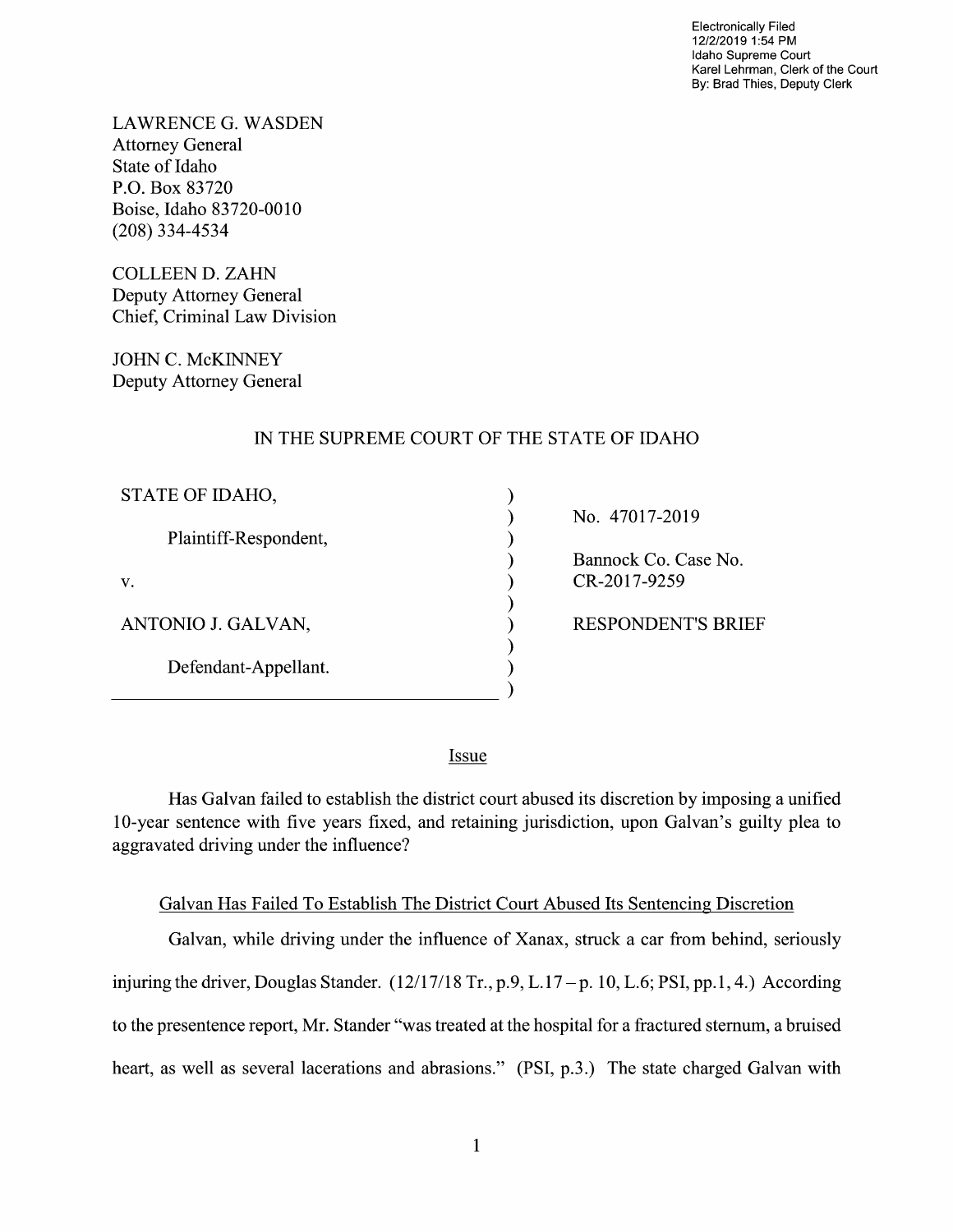Electronically Filed 12/2/2019 1:54 PM Idaho Supreme Court Karel Lehrman, Clerk of the Court By: Brad Thies, Deputy Clerk

LAWRENCE G.WASDEN Attorney General State 0f Idaho P.O. Box 83720 Boise, Idaho 83720-0010 (208) 334-4534

COLLEEN D. ZAHN Deputy Attorney General Chief, Criminal Law Division

JOHN C. McKINNEY Deputy Attorney General

## IN THE SUPREME COURT OF THE STATE OF IDAHO

| STATE OF IDAHO,       |  |
|-----------------------|--|
| Plaintiff-Respondent, |  |
| V.                    |  |
| ANTONIO J. GALVAN,    |  |
| Defendant-Appellant.  |  |
|                       |  |

No. 47017-2019

Bannock Co. Case No. CR-2017-9259

RESPONDENT'S BRIEF

Issue

Has Galvan failed to establish the district court abused its discretion by imposing a unified 10-year sentence with five years fixed, and retaining jurisdiction, upon Galvan's guilty plea t0 aggravated driving under the influence?

## Galvan Has Failed T0 Establish The District Court Abused Its Sentencing Discretion

Galvan, while driving under the influence of Xanax, struck a car from behind, seriously injuring the driver, Douglas Stander.  $(12/17/18 \text{ Tr.}, p.9, L.17 - p. 10, L.6; PSI, pp.1, 4.)$  According to the presentence report, Mr. Stander "was treated at the hospital for a fractured sternum, a bruised heart, as well as several lacerations and abrasions." (PSI, p.3.) The state charged Galvan with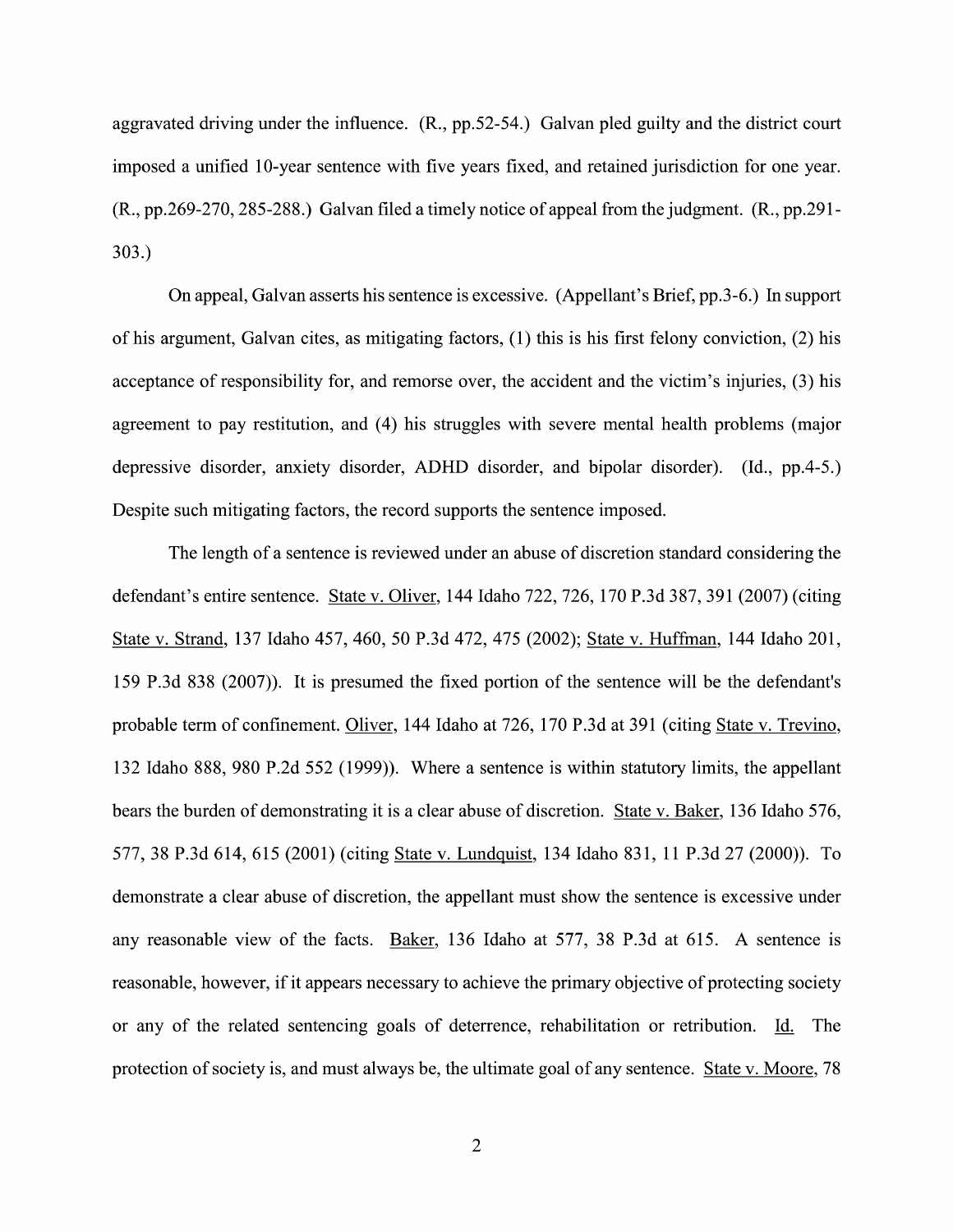aggravated driving under the influence. (R., pp.52-54.) Galvan pled guilty and the district court imposed a unified 10-year sentence with five years fixed, and retained jurisdiction for one year.  $(R., pp.269-270, 285-288.)$  Galvan filed a timely notice of appeal from the judgment.  $(R., pp.291-$ 303.)

On appeal, Galvan asserts his sentence is excessive. (Appellant's Brief, pp.3-6.) In support 0f his argument, Galvan cites, as mitigating factors, (1) this is his first felony conviction, (2) his acceptance of responsibility for, and remorse over, the accident and the victim's injuries, (3) his agreement to pay restitution, and (4) his struggles with severe mental health problems (major depressive disorder, anxiety disorder, ADHD disorder, and bipolar disorder). (Id., pp.4-5.) Despite such mitigating factors, the record supports the sentence imposed.

The length of a sentence is reviewed under an abuse of discretion standard considering the defendant's entire sentence. State V. Oliver, 144 Idaho 722, 726, 170 P.3d 387, 391 (2007) (citing State v. Strand, 137 Idaho 457, 460, 50 P.3d 472, 475 (2002); State v. Huffman, 144 Idaho 201, 159 P.3d 838 (2007)). It is presumed the fixed portion 0f the sentence will be the defendant's probable term of confinement. Oliver, 144 Idaho at 726, 170 P.3d at 391 (citing State v. Trevino, 132 Idaho 888, 980 P.2d 552 (1999)). Where a sentence is within statutory limits, the appellant bears the burden of demonstrating it is a clear abuse of discretion. State v. Baker, 136 Idaho 576, 577, 38 P.3d 614, 615 (2001) (citing State v. Lundquist, 134 Idaho 831, 11 P.3d 27 (2000)). To demonstrate a clear abuse of discretion, the appellant must show the sentence is excessive under<br>any reasonable view of the facts. Baker, 136 Idaho at 577, 38 P.3d at 615. A sentence is reasonable, however, if it appears necessary to achieve the primary objective of protecting society or any of the related sentencing goals of deterrence, rehabilitation or retribution. Id. The protection of society is, and must always be, the ultimate goal of any sentence. State v. Moore, 78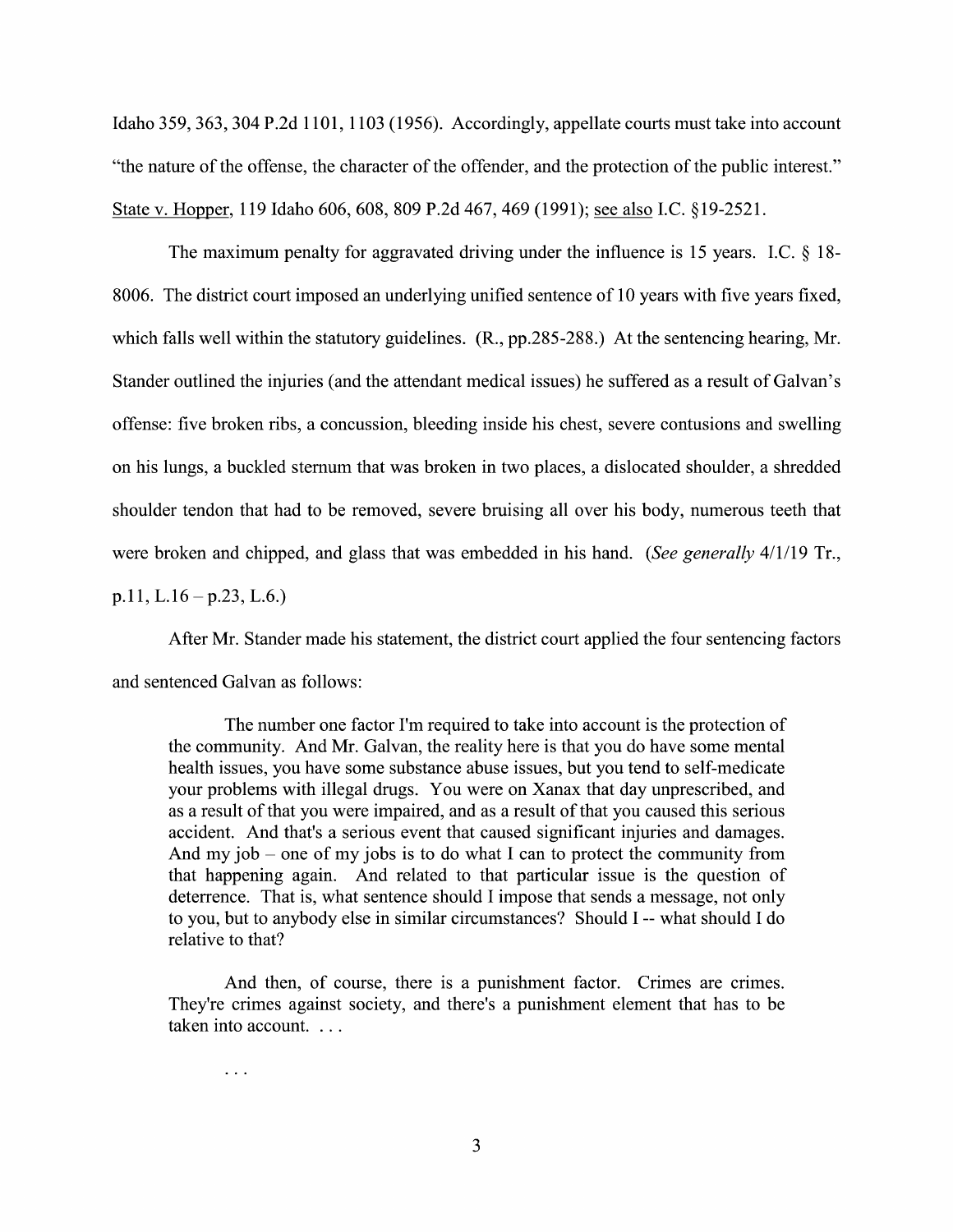Idaho 359, 363, <sup>304</sup> P.2d 1101, <sup>1103</sup> (1956). Accordingly, appellate courts must take into account "the nature of the offense, the character of the offender, and the protection 0f the public interest." State V. Hopper, <sup>119</sup> Idaho 606, 608, <sup>809</sup> P.2d 467, <sup>469</sup> (1991); see also LC. §19-2521.

The maximum penalty for aggravated driving under the influence is 15 years. I.C.  $\S$  18-8006. The district court imposed an underlying unified sentence of 10 years with five years fixed, which falls well within the statutory guidelines. (R., pp.285-288.) At the sentencing hearing, Mr. Stander outlined the injuries (and the attendant medical issues) he suffered as a result of Galvan's offense: five broken ribs, a concussion, bleeding inside his chest, severe contusions and swelling on his lungs, a buckled sternum that was broken in two places, a dislocated shoulder, a shredded shoulder tendon that had to be removed, severe bruising all over his body, numerous teeth that were broken and chipped, and glass that was embedded in his hand. (See generally 4/1/19 Tr., p.11, L.16 – p.23, L.6.)

After Mr. Stander made his statement, the district court applied the four sentencing factors and sentenced Galvan as follows:

The number one factor I'm required to take into account is the protection of the community. And Mr. Galvan, the reality here is that you do have some mental health issues, you have some substance abuse issues, but you tend to self—medicate your problems with illegal drugs. You were on Xanax that day unprescribed, and as a result of that you were impaired, and as a result of that you caused this serious accident. And that's a serious event that caused significant injuries and damages. And my job – one of my jobs is to do what I can to protect the community from that happening again. And related to that particular issue is the question of deterrence. That is, what sentence should I impose that sends a message, not only to you, but to anybody else in similar circumstances? Should I -- what should I do relative to that?

And then, of course, there is a punishment factor. Crimes are crimes. They're crimes against society, and there's a punishment element that has to be taken into account. . .

 $\ddotsc$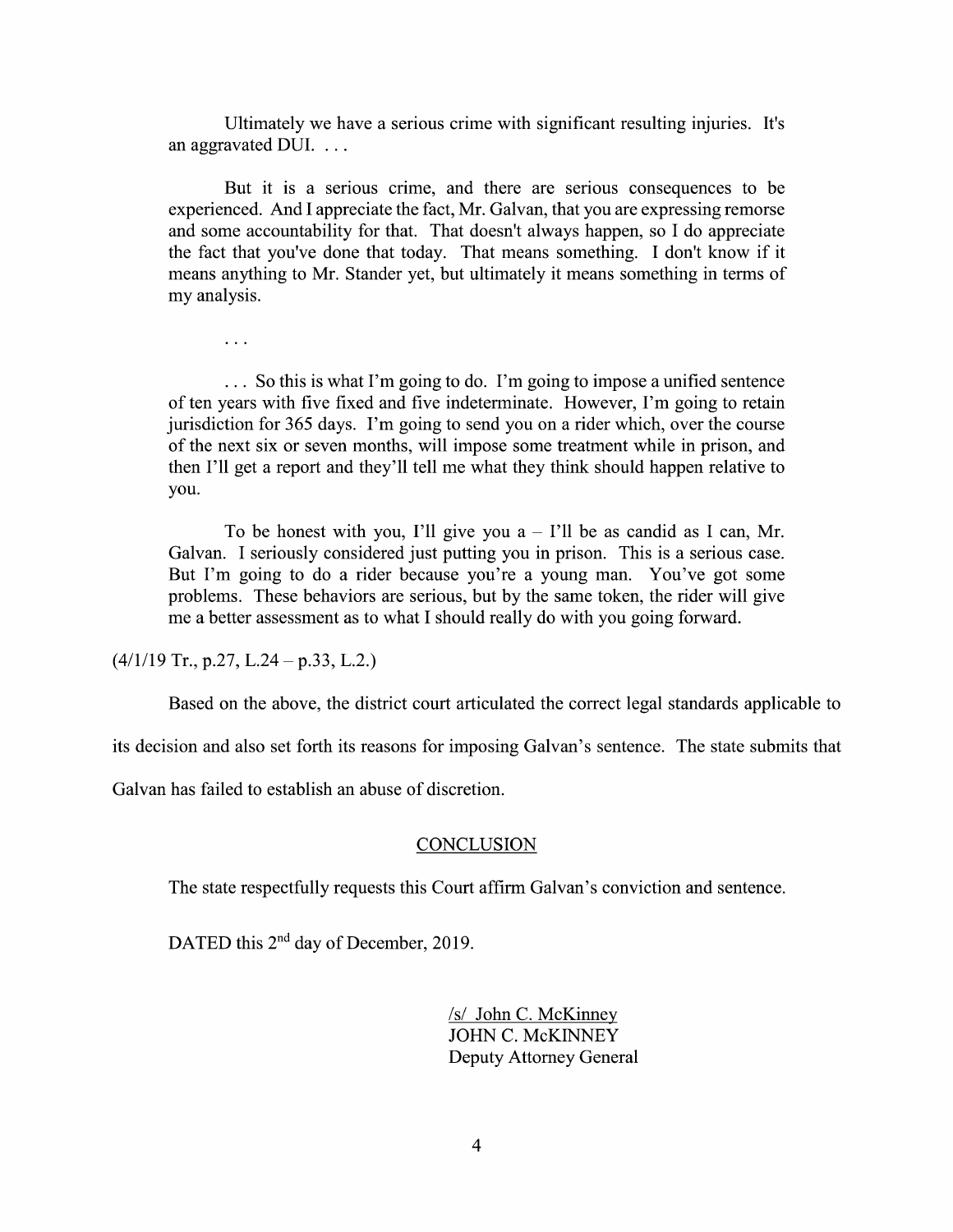Ultimately we have a serious crime with significant resulting injuries. It's an aggravated DUI.

But it is a serious crime, and there are serious consequences to be experienced. And I appreciate the fact, Mr. Galvan, that you are expressing remorse and some accountability for that. That doesn't always happen, so I do appreciate the fact that you've done that today. That means something. I don't know if it means anything to Mr. Stander yet, but ultimately it means something in terms 0f my analysis.

... So this is what I'm going to do. I'm going to impose a unified sentence of ten years With five fixed and five indeterminate. However, I'm going to retain jurisdiction for 365 days. I'm going to send you on a rider which, over the course 0f the next six or seven months, will impose some treatment while in prison, and then I'll get a report and they'll tell me what they think should happen relative to you.

To be honest with you, I'll give you  $a - I'$ ll be as candid as I can, Mr. Galvan. I seriously considered just putting you in prison. This is a serious case. But I'm going to do a rider because you're a young man. You've got some problems. These behaviors are serious, but by the same token, the rider will give me a better assessment as to what I should really do with you going forward.

 $(4/1/19$  Tr., p.27, L.24 – p.33, L.2.)

 $\ddots$ 

Based on the above, the district court articulated the correct legal standards applicable to

its decision and also set forth its reasons for imposing Galvan's sentence. The state submits that

Galvan has failed to establish an abuse of discretion.

## **CONCLUSION**

The state respectfully requests this Court affirm Galvan's conviction and sentence.

DATED this 2<sup>nd</sup> day of December, 2019.

/s/ John C. McKinney JOHN C. McKINNEY Deputy Attorney General